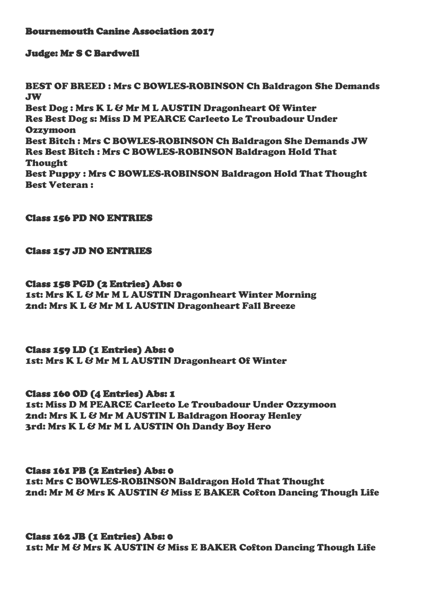### Bournemouth Canine Association 2017

#### Judge: Mr S C Bardwell

BEST OF BREED : Mrs C BOWLES-ROBINSON Ch Baldragon She Demands JW Best Dog : Mrs K L & Mr M L AUSTIN Dragonheart Of Winter Res Best Dog s: Miss D M PEARCE Carleeto Le Troubadour Under **Ozzymoon** Best Bitch : Mrs C BOWLES-ROBINSON Ch Baldragon She Demands JW Res Best Bitch : Mrs C BOWLES-ROBINSON Baldragon Hold That Thought Best Puppy : Mrs C BOWLES-ROBINSON Baldragon Hold That Thought Best Veteran :

### Class 156 PD NO ENTRIES

#### Class 157 JD NO ENTRIES

#### Class 158 PGD (2 Entries) Abs: 0

1st: Mrs K L & Mr M L AUSTIN Dragonheart Winter Morning 2nd: Mrs K L & Mr M L AUSTIN Dragonheart Fall Breeze

### Class 159 LD (1 Entries) Abs: 0

1st: Mrs K L & Mr M L AUSTIN Dragonheart Of Winter

### Class 160 OD (4 Entries) Abs: 1

1st: Miss D M PEARCE Carleeto Le Troubadour Under Ozzymoon 2nd: Mrs K L & Mr M AUSTIN L Baldragon Hooray Henley 3rd: Mrs K L & Mr M L AUSTIN Oh Dandy Boy Hero

### Class 161 PB (2 Entries) Abs: 0

1st: Mrs C BOWLES-ROBINSON Baldragon Hold That Thought 2nd: Mr M & Mrs K AUSTIN & Miss E BAKER Cofton Dancing Though Life

### Class 162 JB (1 Entries) Abs: 0

1st: Mr M & Mrs K AUSTIN & Miss E BAKER Cofton Dancing Though Life